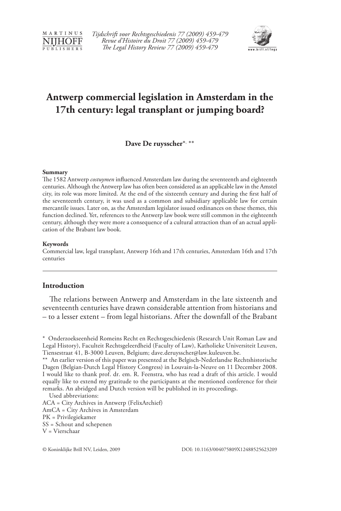

*Tijdschrift voor Rechtsgeschiedenis 77 (2009) 459-479 Revue d'Histoire du Droit 77 (2009) 459-479 The Legal History Review 77 (2009) 459-479*



# **Antwerp commercial legislation in Amsterdam in the 17th century: legal transplant or jumping board?**

**Dave De ruysscher**\*, \*\*

#### **Summary**

The 1582 Antwerp *costuymen* influenced Amsterdam law during the seventeenth and eighteenth centuries. Although the Antwerp law has often been considered as an applicable law in the Amstel city, its role was more limited. At the end of the sixteenth century and during the first half of the seventeenth century, it was used as a common and subsidiary applicable law for certain mercantile issues. Later on, as the Amsterdam legislator issued ordinances on these themes, this function declined. Yet, references to the Antwerp law book were still common in the eighteenth century, although they were more a consequence of a cultural attraction than of an actual application of the Brabant law book.

### **Keywords**

Commercial law, legal transplant, Antwerp 16th and 17th centuries, Amsterdam 16th and 17th centuries

### **Introduction**

The relations between Antwerp and Amsterdam in the late sixteenth and seventeenth centuries have drawn considerable attention from historians and – to a lesser extent – from legal historians. After the downfall of the Brabant

<sup>\*</sup> Onderzoekseenheid Romeins Recht en Rechtsgeschiedenis (Research Unit Roman Law and Legal History), Faculteit Rechtsgeleerdheid (Faculty of Law), Katholieke Universiteit Leuven, Tiensestraat 41, B-3000 Leuven, Belgium; dave.deruysscher@law.kuleuven.be.

<sup>\*\*</sup> An earlier version of this paper was presented at the Belgisch-Nederlandse Rechtshistorische Dagen (Belgian-Dutch Legal History Congress) in Louvain-la-Neuve on 11 December 2008. I would like to thank prof. dr. em. R. Feenstra, who has read a draft of this article. I would equally like to extend my gratitude to the participants at the mentioned conference for their remarks. An abridged and Dutch version will be published in its proceedings.

Used abbreviations: ACA = City Archives in Antwerp (FelixArchief) AmCA = City Archives in Amsterdam PK = Privilegiekamer SS = Schout and schepenen V = Vierschaar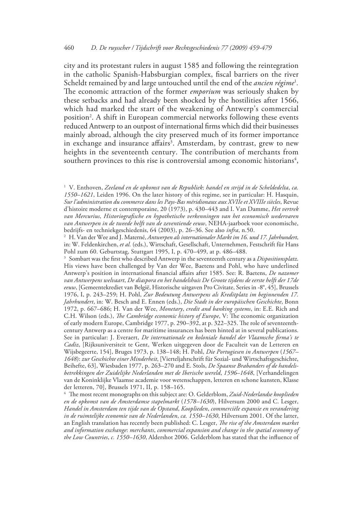city and its protestant rulers in august 1585 and following the reintegration in the catholic Spanish-Habsburgian complex, fiscal barriers on the river Scheldt remained by and large untouched until the end of the *ancien régime*<sup>1</sup> *.* The economic attraction of the former *emporium* was seriously shaken by these setbacks and had already been shocked by the hostilities after 1566, which had marked the start of the weakening of Antwerp's commercial position<sup>2</sup>. A shift in European commercial networks following these events reduced Antwerp to an outpost of international firms which did their businesses mainly abroad, although the city preserved much of its former importance in exchange and insurance affairs<sup>3</sup>. Amsterdam, by contrast, grew to new heights in the seventeenth century. The contribution of merchants from southern provinces to this rise is controversial among economic historians $4$ ,

3 Sombart was the first who described Antwerp in the seventeenth century as a *Dispositionsplatz*. His views have been challenged by Van der Wee, Baetens and Pohl, who have underlined Antwerp's position in international financial affairs after 1585. See: R. Baetens, *De nazomer van Antwerpens welvaart*, *De diaspora en het handelshuis De Groote tijdens de eerste helft der 17de eeuw*, [Gemeentekrediet van België, Historische uitgaven Pro Civitate, Series in -8°, 45], Brussels 1976, I, p. 243–259; H. Pohl, *Zur Bedeutung Antwerpens als Kreditplatz im beginnenden 17. Jahrhundert*, in: W. Besch and E. Ennen (eds.), *Die Stadt in der europäischen Geschichte*, Bonn 1972, p. 667–686; H. Van der Wee, *Monetary*, *credit and banking systems*, in: E.E. Rich and C.H. Wilson (eds.), *The Cambridge economic history of Europe*, V: The economic organization of early modern Europe, Cambridge 1977, p. 290–392, at p. 322–325. The role of seventeenthcentury Antwerp as a centre for maritime insurances has been hinted at in several publications. See in particular: J. Everaert, *De internationale en koloniale handel der Vlaamsche firma's te Cadiz*, [Rijksuniversiteit te Gent, Werken uitgegeven door de Faculteit van de Letteren en Wijsbegeerte, 154], Bruges 1973, p. 138–148; H. Pohl, *Die Portugiesen in Antwerpen* (*1567– 1648*): *zur Geschichte einer Minderheit*, [Vierteljahrschrift für Sozial- und Wirtschaftsgeschichte, Beihefte, 63], Wiesbaden 1977, p. 263–270 and E. Stols, *De Spaanse Brabanders of de handelsbetrekkingen der Zuidelijke Nederlanden met de Iberische wereld*, *1596–1648*, [Verhandelingen van de Koninklijke Vlaamse academie voor wetenschappen, letteren en schone kunsten, Klasse der letteren, 70], Brussels 1971, II, p. 158–165.

4 The most recent monographs on this subject are: O. Gelderblom, *Zuid-Nederlandse kooplieden en de opkomst van de Amsterdamse stapelmarkt* (*1578–1630*), Hilversum 2000 and C. Lesger, *Handel in Amsterdam ten tijde van de Opstand*, *Kooplieden*, *commerciële expansie en verandering in de ruimtelijke economie van de Nederlanden*, *ca. 1550–1630*, Hilversum 2001. Of the latter, an English translation has recently been published: C. Lesger, *The rise of the Amsterdam market and information exchange*: *merchants*, *commercial expansion and change in the spatial economy of the Low Countries*, *c. 1550–1630*, Aldershot 2006. Gelderblom has stated that the influence of

<sup>1</sup> V. Enthoven, *Zeeland en de opkomst van de Republiek*: *handel en strijd in de Scheldedelta*, *ca. 1550–1621*, Leiden 1996. On the later history of this regime, see in particular: H. Hasquin, *Sur l'administration du commerce dans les Pays-Bas méridionaux aux XVIIe et XVIIIe siècles*, Revue d'histoire moderne et contemporaine, 20 (1973), p. 430–443 and I. Van Damme, *Het vertrek van Mercurius*, *Historiografische en hypothetische verkenningen van het economisch wedervaren van Antwerpen in de tweede helft van de zeventiende eeuw*, NEHA-jaarboek voor economische, bedrijfs- en techniekgeschiedenis, 64 (2003), p. 26–36. See also *infra*, n.50.

<sup>2</sup> H. Van der Wee and J. Materné, *Antwerpen als internationaler Markt im 16. und 17. Jahrhundert*, in: W. Feldenkirchen, *et al.* (eds.), Wirtschaft, Gesellschaft, Unternehmen, Festschrift für Hans Pohl zum 60. Geburtstag, Stuttgart 1995, I, p. 470–499, at p. 486–488.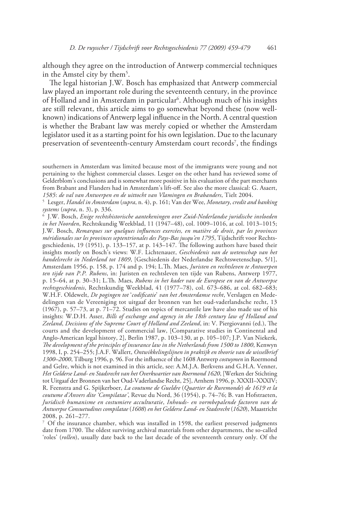although they agree on the introduction of Antwerp commercial techniques in the Amstel city by them<sup>5</sup>.

The legal historian J.W. Bosch has emphasized that Antwerp commercial law played an important role during the seventeenth century, in the province of Holland and in Amsterdam in particular<sup>6</sup>. Although much of his insights are still relevant, this article aims to go somewhat beyond these (now wellknown) indications of Antwerp legal influence in the North. A central question is whether the Brabant law was merely copied or whether the Amsterdam legislator used it as a starting point for his own legislation. Due to the lacunary preservation of seventeenth-century Amsterdam court records<sup>7</sup>, the findings

6 J.W. Bosch, *Enige rechtshistorische aantekeningen over Zuid-Nederlandse juridische invloeden in het Noorden*, Rechtskundig Weekblad, 11 (1947–48), col. 1009–1016, at col. 1013–1015; J.W. Bosch, *Remarques sur quelques influences exercées, en matière de droit*, *par les provinces méridionales sur les provinces septentrionales des Pays-Bas jusqu'en 1795*, Tijdschrift voor Rechtsgeschiedenis, 19 (1951), p. 133–157, at p. 143–147. The following authors have based their insights mostly on Bosch's views: W.F. Lichtenauer, *Geschiedenis van de wetenschap van het handelsrecht in Nederland tot 1809*, [Geschiedenis der Nederlandse Rechtswetenschap, 5/1], Amsterdam 1956, p. 158, p. 174 and p. 194; L.Th. Maes, *Juristen en rechtsleven te Antwerpen ten tijde van P.P. Rubens*, in: Juristen en rechtsleven ten tijde van Rubens, Antwerp 1977, p. 15–64, at p. 30–31; L.Th. Maes, *Rubens in het kader van de Europese en van de Antwerpse rechtsgeschiedenis*, Rechtskundig Weekblad, 41 (1977–78), col. 673–686, at col. 682–683; W.H.F. Oldewelt, *De pogingen tot* '*codificatie*' *van het Amsterdamse recht*, Verslagen en Mededelingen van de Vereeniging tot uitgaaf der bronnen van het oud-vaderlandsche recht, 13 (1967), p. 57–73, at p. 71–72. Studies on topics of mercantile law have also made use of his insights: W.D.H. Asser, *Bills of exchange and agency in the 18th century law of Holland and Zeeland*, *Decisions of the Supreme Court of Holland and Zeeland*, in: V. Piergiovanni (ed.), The courts and the development of commercial law, [Comparative studies in Continental and Anglo-American legal history, 2], Berlin 1987, p. 103–130, at p. 105–107; J.P. Van Niekerk, *The development of the principles of insurance law in the Netherlands from 1500 to 1800*, Kenwyn 1998, I, p. 254–255; J.A.F. Wallert, *Ontwikkelingslijnen in praktijk en theorie van de wisselbrief 1300–2000*, Tilburg 1996, p. 96. For the influence of the 1608 Antwerp *costuymen* in Roermond and Gelre, which is not examined in this article, see: A.M.J.A. Berkvens and G.H.A. Venner, *Het Gelderse Land- en Stadsrecht van het Overkwartier van Roermond 1620*, [Werken der Stichting tot Uitgaaf der Bronnen van het Oud-Vaderlandse Recht, 25], Arnhem 1996, p. XXXII–XXXIV; R. Feenstra and G. Spijkerboer, *La coutume de Gueldre* (*Quartier de Ruremonde*) *de 1619 et la coutume d'Anvers dite 'Compilatae'*, Revue du Nord, 36 (1954), p. 74–76; B. van Hofstraeten, *Juridisch humanisme en costumiere acculturatie*, *Inhouds- en vormbepalende factoren van de Antwerpse Consuetudines compilatae* (*1608*) *en het Gelderse Land- en Stadsrecht* (*1620*), Maastricht 2008, p. 261–277.

7 Of the insurance chamber, which was installed in 1598, the earliest preserved judgments date from 1700. The oldest surviving archival materials from other departments, the so-called 'roles' (*rollen*), usually date back to the last decade of the seventeenth century only. Of the

southerners in Amsterdam was limited because most of the immigrants were young and not pertaining to the highest commercial classes. Lesger on the other hand has reviewed some of Gelderblom's conclusions and is somewhat more positive in his evaluation of the part merchants from Brabant and Flanders had in Amsterdam's lift-off. See also the more classical: G. Asaert, *1585*: *de val van Antwerpen en de uittocht van Vlamingen en Brabanders*, Tielt 2004.

<sup>5</sup> Lesger, *Handel in Amsterdam* (*supra*, n. 4), p. 161; Van der Wee, *Monetary*, *credit and banking systems* (*supra*, n. 3), p. 336.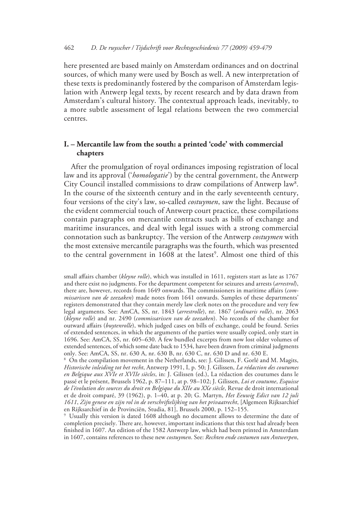here presented are based mainly on Amsterdam ordinances and on doctrinal sources, of which many were used by Bosch as well. A new interpretation of these texts is predominantly fostered by the comparison of Amsterdam legislation with Antwerp legal texts, by recent research and by data drawn from Amsterdam's cultural history. The contextual approach leads, inevitably, to a more subtle assessment of legal relations between the two commercial centres.

# **I. – Mercantile law from the south: a printed 'code' with commercial chapters**

After the promulgation of royal ordinances imposing registration of local law and its approval ('*homologatie*') by the central government, the Antwerp City Council installed commissions to draw compilations of Antwerp law<sup>8</sup>. In the course of the sixteenth century and in the early seventeenth century, four versions of the city's law, so-called *costuymen*, saw the light. Because of the evident commercial touch of Antwerp court practice, these compilations contain paragraphs on mercantile contracts such as bills of exchange and maritime insurances, and deal with legal issues with a strong commercial connotation such as bankruptcy. The version of the Antwerp *costuymen* with the most extensive mercantile paragraphs was the fourth, which was presented to the central government in 1608 at the latest<sup>9</sup>. Almost one third of this

8 On the compilation movement in the Netherlands, see: J. Gilissen, F. Gorlé and M. Magits, *Historische inleiding tot het recht*, Antwerp 1991, I, p. 50; J. Gilissen, *La rédaction des coutumes en Belgique aux XVIe et XVIIe siècles*, in: J. Gilissen (ed.), La rédaction des coutumes dans le passé et le présent, Brussels 1962, p. 87–111, at p. 98–102; J. Gilissen, *Loi et coutume*, *Esquisse de l'évolution des sources du droit en Belgique du XIIe au XXe siècle*, Revue de droit international et de droit comparé, 39 (1962), p. 1–40, at p. 20; G. Martyn, *Het Eeuwig Edict van 12 juli 1611*, *Zijn genese en zijn rol in de verschriftelijking van het privaatrecht*, [Algemeen Rijksarchief en Rijksarchief in de Provinciën, Studia, 81], Brussels 2000, p. 152–155.

9 Usually this version is dated 1608 although no document allows to determine the date of completion precisely. There are, however, important indications that this text had already been finished in 1607. An edition of the 1582 Antwerp law, which had been printed in Amsterdam in 1607, contains references to these new *costuymen*. See: *Rechten ende costumen van Antwerpen*,

small affairs chamber (*kleyne rolle*), which was installed in 1611, registers start as late as 1767 and there exist no judgments. For the department competent for seizures and arrests (*arrestrol*), there are, however, records from 1649 onwards. The commissioners in maritime affairs (*commissarissen van de zeezaken*) made notes from 1641 onwards. Samples of these departments' registers demonstrated that they contain merely law clerk notes on the procedure and very few legal arguments. See: AmCA, SS, nr. 1843 (*arrestrolle*), nr. 1867 (*ordinaris rolle*), nr. 2063 (*kleyne rolle*) and nr. 2490 (*commissarissen van de zeezaken*). No records of the chamber for outward affairs (*buytenrolle*), which judged cases on bills of exchange, could be found. Series of extended sentences, in which the arguments of the parties were usually copied, only start in 1696. See: AmCA, SS, nr. 605–630. A few bundled excerpts from now lost older volumes of extended sentences, of which some date back to 1534, have been drawn from criminal judgments only. See: AmCA, SS, nr. 630 A, nr. 630 B, nr. 630 C, nr. 630 D and nr. 630 E.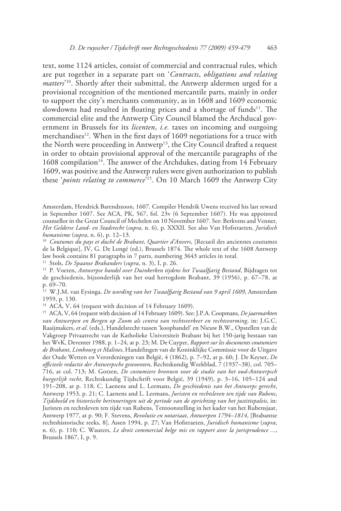text, some 1124 articles, consist of commercial and contractual rules, which are put together in a separate part on '*Contracts*, *obligations and relating matters*' 10. Shortly after their submittal, the Antwerp aldermen urged for a provisional recognition of the mentioned mercantile parts, mainly in order to support the city's merchants community, as in 1608 and 1609 economic slowdowns had resulted in floating prices and a shortage of funds $11$ . The commercial elite and the Antwerp City Council blamed the Archducal government in Brussels for its *licenten*, *i.e.* taxes on incoming and outgoing merchandises<sup>12</sup>. When in the first days of 1609 negotiations for a truce with the North were proceeding in Antwerp<sup>13</sup>, the City Council drafted a request in order to obtain provisional approval of the mercantile paragraphs of the 1608 compilation<sup>14</sup>. The answer of the Archdukes, dating from 14 February 1609, was positive and the Antwerp rulers were given authorization to publish these '*points relating to commerce*' 15. On 10 March 1609 the Antwerp City

<sup>10</sup> *Coutumes du pays et duché de Brabant*, *Quartier d'Anvers*, [Recueil des anciennes coutumes de la Belgique], IV, G. De Longé (ed.), Brussels 1874. The whole text of the 1608 Antwerp law book contains 81 paragraphs in 7 parts, numbering 3643 articles in total.

11 Stols, *De Spaanse Brabanders* (*supra*, n. 3), I, p. 26.

12 P. Voeten, *Antwerpse handel over Duinkerken tijdens het Twaalfjarig Bestand*, Bijdragen tot de geschiedenis, bijzonderlijk van het oud hertogdom Brabant, 39 (1956), p. 67–78, at p. 69–70.

13 W.J.M. van Eysinga, *De wording van het Twaalfjarig Bestand van 9 april 1609*, Amsterdam 1959, p. 130.

<sup>14</sup> ACA, V, 64 (request with decision of 14 February 1609).

Amsterdam, Hendrick Barendszoon, 1607. Compiler Hendrik Uwens received his last reward in September 1607. See ACA, PK, 567, fol. 23v (6 September 1607). He was appointed counsellor in the Great Council of Mechelen on 10 November 1607. See: Berkvens and Venner, *Het Gelderse Land- en Stadsrecht* (*supra*, n. 6), p. XXXII. See also Van Hofstraeten, *Juridisch humanisme* (*supra*, n. 6), p. 12–13.

<sup>15</sup> ACA, V, 64 (request with decision of 14 February 1609). See: J.P.A. Coopmans, *De jaarmarkten van Antwerpen en Bergen op Zoom als centra van rechtsverkeer en rechtsvorming*, in: J.G.C. Raaijmakers, *et al*. (eds.), Handelsrecht tussen 'koophandel' en Nieuw B.W., Opstellen van de Vakgroep Privaatrecht van de Katholieke Universiteit Brabant bij het 150-jarig bestaan van het WvK, Deventer 1988, p. 1–24, at p. 23; M. De Cuyper, *Rapport sur les documents coutumiers de Brabant*, *Limbourg et Malines*, Handelingen van de Koninklijke Commissie voor de Uitgave der Oude Wetten en Verordeningen van België, 4 (1862), p. 7–92, at p. 60; J. De Keyser, *De officieele redactie der Antwerpsche gewoonten*, Rechtskundig Weekblad, 7 (1937–38), col. 705– 716, at col. 713; M. Gotzen, *De costumiere bronnen voor de studie van het oud-Antwerpsch burgerlijk recht*, Rechtskundig Tijdschrift voor België, 39 (1949), p. 3–16, 105–124 and 191–208, at p. 118; C. Laenens and L. Leemans, *De geschiedenis van het Antwerps gerecht*, Antwerp 1953, p. 21; C. Laenens and L. Leemans, *Juristen en rechtsleven ten tijde van Rubens*, *Tijdsbeeld en historische herinneringen uit de periode van de oprichting van het justitiepaleis*, in: Juristen en rechtsleven ten tijde van Rubens, Tentoonstelling in het kader van het Rubensjaar, Antwerp 1977, at p. 90; F. Stevens, *Revolutie en notariaat*, *Antwerpen 1794–1814*, [Brabantse rechtshistorische reeks, 8], Assen 1994, p. 27; Van Hofstraeten, *Juridisch humanisme* (*supra*, n. 6), p. 110; C. Wauters, *Le droit commercial belge mis en rapport avec la jurisprudence ...*, Brussels 1867, I, p. 9.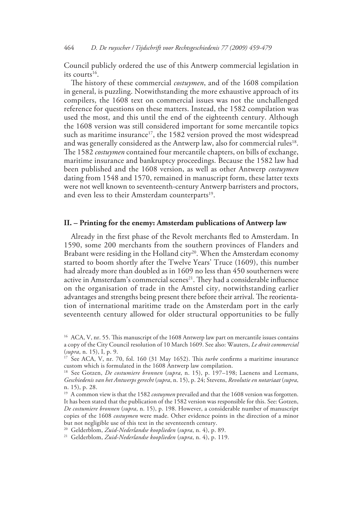Council publicly ordered the use of this Antwerp commercial legislation in its courts $^{16}$ .

The history of these commercial *costuymen*, and of the 1608 compilation in general, is puzzling. Notwithstanding the more exhaustive approach of its compilers, the 1608 text on commercial issues was not the unchallenged reference for questions on these matters. Instead, the 1582 compilation was used the most, and this until the end of the eighteenth century. Although the 1608 version was still considered important for some mercantile topics such as maritime insurance<sup>17</sup>, the 1582 version proved the most widespread and was generally considered as the Antwerp law, also for commercial rules<sup>18</sup>. The 1582 *costuymen* contained four mercantile chapters, on bills of exchange, maritime insurance and bankruptcy proceedings. Because the 1582 law had been published and the 1608 version, as well as other Antwerp *costuymen* dating from 1548 and 1570, remained in manuscript form, these latter texts were not well known to seventeenth-century Antwerp barristers and proctors, and even less to their Amsterdam counterparts<sup>19</sup>.

## **II. – Printing for the enemy: Amsterdam publications of Antwerp law**

Already in the first phase of the Revolt merchants fled to Amsterdam. In 1590, some 200 merchants from the southern provinces of Flanders and Brabant were residing in the Holland city<sup>20</sup>. When the Amsterdam economy started to boom shortly after the Twelve Years' Truce (1609), this number had already more than doubled as in 1609 no less than 450 southerners were active in Amsterdam's commercial scenes<sup>21</sup>. They had a considerable influence on the organisation of trade in the Amstel city, notwithstanding earlier advantages and strengths being present there before their arrival. The reorientation of international maritime trade on the Amsterdam port in the early seventeenth century allowed for older structural opportunities to be fully

<sup>&</sup>lt;sup>16</sup> ACA, V, nr. 55. This manuscript of the 1608 Antwerp law part on mercantile issues contains a copy of the City Council resolution of 10 March 1609. See also: Wauters, *Le droit commercial* (*supra*, n. 15), I, p. 9.

<sup>&</sup>lt;sup>17</sup> See ACA, V, nr. 70, fol. 160 (31 May 1652). This *turbe* confirms a maritime insurance custom which is formulated in the 1608 Antwerp law compilation.

<sup>18</sup> See Gotzen, *De costumiere bronnen* (*supra*, n. 15), p. 197–198; Laenens and Leemans, *Geschiedenis van het Antwerps gerecht* (*supra*, n. 15), p. 24; Stevens, *Revolutie en notariaat* (*supra*, n. 15), p. 28.

<sup>&</sup>lt;sup>19</sup> A common view is that the 1582 *costuymen* prevailed and that the 1608 version was forgotten. It has been stated that the publication of the 1582 version was responsible for this. See: Gotzen, *De costumiere bronnen* (*supra*, n. 15), p. 198. However, a considerable number of manuscript copies of the 1608 *costuymen* were made. Other evidence points in the direction of a minor but not negligible use of this text in the seventeenth century.<br><sup>20</sup> Gelderblom, *Zuid-Nederlandse kooplieden* (*supra*, n. 4), p. 89.

<sup>20</sup> Gelderblom, *Zuid-Nederlandse kooplieden* (*supra*, n. 4), p. 89. 21 Gelderblom, *Zuid-Nederlandse kooplieden* (*supra*, n. 4), p. 119.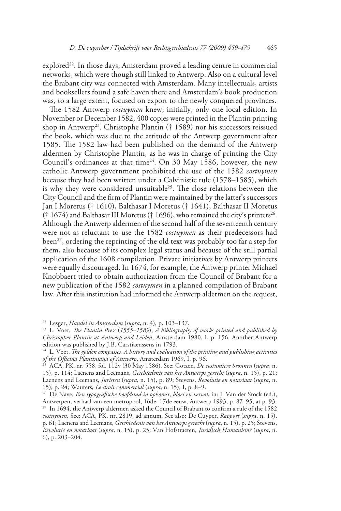$explored<sup>22</sup>$ . In those days, Amsterdam proved a leading centre in commercial networks, which were though still linked to Antwerp. Also on a cultural level the Brabant city was connected with Amsterdam. Many intellectuals, artists and booksellers found a safe haven there and Amsterdam's book production was, to a large extent, focused on export to the newly conquered provinces.

The 1582 Antwerp *costuymen* knew, initially, only one local edition. In November or December 1582, 400 copies were printed in the Plantin printing shop in Antwerp<sup>23</sup>. Christophe Plantin († 1589) nor his successors reissued the book, which was due to the attitude of the Antwerp government after 1585. The 1582 law had been published on the demand of the Antwerp aldermen by Christophe Plantin, as he was in charge of printing the City Council's ordinances at that time<sup>24</sup>. On 30 May 1586, however, the new catholic Antwerp government prohibited the use of the 1582 *costuymen* because they had been written under a Calvinistic rule (1578–1585), which is why they were considered unsuitable<sup>25</sup>. The close relations between the City Council and the firm of Plantin were maintained by the latter's successors Jan I Moretus († 1610), Balthasar I Moretus († 1641), Balthasar II Moretus († 1674) and Balthasar III Moretus († 1696), who remained the city's printers<sup>26</sup>. Although the Antwerp aldermen of the second half of the seventeenth century were not as reluctant to use the 1582 *costuymen* as their predecessors had been<sup>27</sup>, ordering the reprinting of the old text was probably too far a step for them, also because of its complex legal status and because of the still partial application of the 1608 compilation. Private initiatives by Antwerp printers were equally discouraged. In 1674, for example, the Antwerp printer Michael Knobbaert tried to obtain authorization from the Council of Brabant for a new publication of the 1582 *costuymen* in a planned compilation of Brabant law. After this institution had informed the Antwerp aldermen on the request,

<sup>22</sup> Lesger, *Handel in Amsterdam* (*supra*, n. 4), p. 103–137.

<sup>23</sup> L. Voet, *The Plantin Press* (*1555–1589*), *A bibliography of works printed and published by Christopher Plantin at Antwerp and Leiden*, Amsterdam 1980, I, p. 156. Another Antwerp edition was published by J.B. Carstiaenssens in 1793.

<sup>24</sup> L. Voet, *The golden compasses*, *A history and evaluation of the printing and publishing activities of the Officina Plantiniana of Antwerp*, Amsterdam 1969, I, p. 96.

<sup>25</sup> ACA, PK, nr. 558, fol. 112v (30 May 1586). See: Gotzen, *De costumiere bronnen* (*supra*, n. 15), p. 114; Laenens and Leemans, *Geschiedenis van het Antwerps gerecht* (*supra*, n. 15), p. 21; Laenens and Leemans, *Juristen* (*supra*, n. 15), p. 89; Stevens, *Revolutie en notariaat* (*supra*, n. 15), p. 24; Wauters, *Le droit commercial* (*supra*, n. 15), I, p. 8–9.

<sup>26</sup> De Nave, *Een typografische hoofdstad in opkomst*, *bloei en verval*, in: J. Van der Stock (ed.), Antwerpen, verhaal van een metropool, 16de–17de eeuw, Antwerp 1993, p. 87–95, at p. 93. 27 In 1694, the Antwerp aldermen asked the Council of Brabant to confirm a rule of the 1582 *costuymen*. See: ACA, PK, nr. 2819, ad annum. See also: De Cuyper, *Rapport* (*supra*, n. 15), p. 61; Laenens and Leemans, *Geschiedenis van het Antwerps gerecht* (*supra*, n. 15), p. 25; Stevens, *Revolutie en notariaat* (*supra*, n. 15), p. 25; Van Hofstraeten, *Juridisch Humanisme* (*supra*, n. 6), p. 203–204.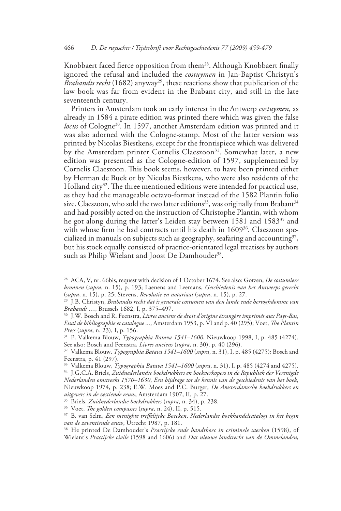Knobbaert faced fierce opposition from them<sup>28</sup>. Although Knobbaert finally ignored the refusal and included the *costuymen* in Jan-Baptist Christyn's *Brabandts recht* (1682) anyway<sup>29</sup>, these reactions show that publication of the law book was far from evident in the Brabant city, and still in the late seventeenth century.

Printers in Amsterdam took an early interest in the Antwerp *costuymen*, as already in 1584 a pirate edition was printed there which was given the false *locus* of Cologne30. In 1597, another Amsterdam edition was printed and it was also adorned with the Cologne-stamp. Most of the latter version was printed by Nicolas Biestkens, except for the frontispiece which was delivered by the Amsterdam printer Cornelis Claeszoon<sup>31</sup>. Somewhat later, a new edition was presented as the Cologne-edition of 1597, supplemented by Cornelis Claeszoon. This book seems, however, to have been printed either by Herman de Buck or by Nicolas Biestkens, who were also residents of the Holland city<sup>32</sup>. The three mentioned editions were intended for practical use, as they had the manageable octavo-format instead of the 1582 Plantin folio size. Claeszoon, who sold the two latter editions<sup>33</sup>, was originally from Brabant<sup>34</sup> and had possibly acted on the instruction of Christophe Plantin, with whom he got along during the latter's Leiden stay between 1581 and 1583<sup>35</sup> and with whose firm he had contracts until his death in 1609<sup>36</sup>. Claeszoon specialized in manuals on subjects such as geography, seafaring and accounting<sup>37</sup>, but his stock equally consisted of practice-orientated legal treatises by authors such as Philip Wielant and Joost De Damhouder<sup>38</sup>.

35 Briels, *Zuidnederlandse boekdrukkers* (*supra*, n. 34), p. 238.

36 Voet, *The golden compasses* (*supra*, n. 24), II, p. 515.

<sup>28</sup> ACA, V, nr. 66bis, request with decision of 1 October 1674. See also: Gotzen, *De costumiere bronnen* (*supra*, n. 15), p. 193; Laenens and Leemans, *Geschiedenis van het Antwerps gerecht*  (*supra*, n. 15), p. 25; Stevens, *Revolutie en notariaat* (*supra*, n. 15), p. 27.

<sup>29</sup> J.B. Christyn, *Brabandts recht dat is generale costumen van den lande ende hertoghdomme van Brabandt* …, Brussels 1682, I, p. 375–497.

<sup>30</sup> J.W. Bosch and R. Feenstra, *Livres anciens de droit d'origine étrangère imprimés aux Pays-Bas*, *Essai de bibliographie et catalogue ...*, Amsterdam 1953, p. VI and p. 40 (295); Voet, *The Plantin Press* (*supra*, n. 23), I, p. 156.

<sup>31</sup> P. Valkema Blouw, *Typographia Batava 1541–1600*, Nieuwkoop 1998, I, p. 485 (4274). See also: Bosch and Feenstra, *Livres anciens* (*supra*, n. 30), p. 40 (296).

<sup>32</sup> Valkema Blouw, *Typographia Batava 1541–1600* (*supra*, n. 31), I, p. 485 (4275); Bosch and Feenstra, p. 41 (297).

<sup>33</sup> Valkema Blouw, *Typographia Batava 1541–1600* (*supra*, n. 31), I, p. 485 (4274 and 4275). 34 J.G.C.A. Briels, *Zuidnederlandse boekdrukkers en boekverkopers in de Republiek der Verenigde Nederlanden omstreeks 1570–1630*, *Een bijdrage tot de kennis van de geschiedenis van het boek*, Nieuwkoop 1974, p. 238; E.W. Moes and P.C. Burger, *De Amsterdamsche boekdrukkers en uitgevers in de zestiende eeuw*, Amsterdam 1907, II, p. 27.

<sup>37</sup> B. van Selm, *Een menighte treffelijcke Boecken*, *Nederlandse boekhandelcatalogi in het begin van de zeventiende eeuw*, Utrecht 1987, p. 181.

<sup>38</sup> He printed De Damhouder's *Practijcke ende handtboec in criminele saecken* (1598), of Wielant's *Practijcke civile* (1598 and 1606) and *Dat nieuwe landtrecht van de Ommelanden*,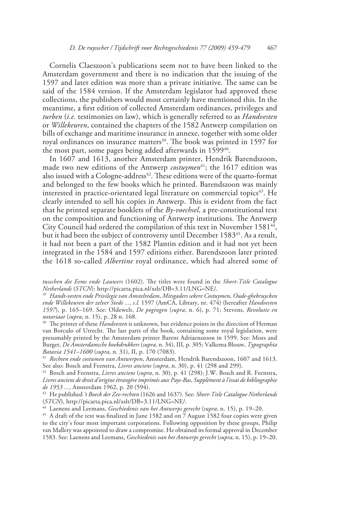Cornelis Claeszoon's publications seem not to have been linked to the Amsterdam government and there is no indication that the issuing of the 1597 and later edition was more than a private initiative. The same can be said of the 1584 version. If the Amsterdam legislator had approved these collections, the publishers would most certainly have mentioned this. In the meantime, a first edition of collected Amsterdam ordinances, privileges and *turben* (*i.e.* testimonies on law), which is generally referred to as *Handvesten* or *Willekeuren*, contained the chapters of the 1582 Antwerp compilation on bills of exchange and maritime insurance in annexe, together with some older royal ordinances on insurance matters<sup>39</sup>. The book was printed in 1597 for the most part, some pages being added afterwards in  $1599^{40}$ .

In 1607 and 1613, another Amsterdam printer, Hendrik Barendszoon, made two new editions of the Antwerp *costuymen*<sup>41</sup>; the 1617 edition was also issued with a Cologne-address<sup>42</sup>. These editions were of the quarto-format and belonged to the few books which he printed. Barendszoon was mainly interested in practice-orientated legal literature on commercial topics $43$ . He clearly intended to sell his copies in Antwerp. This is evident from the fact that he printed separate booklets of the *By-voechsel*, a pre-constitutional text on the composition and functioning of Antwerp institutions. The Antwerp City Council had ordered the compilation of this text in November 1581<sup>44</sup>, but it had been the subject of controversy until December 1583<sup>45</sup>. As a result, it had not been a part of the 1582 Plantin edition and it had not yet been integrated in the 1584 and 1597 editions either. Barendszoon later printed the 1618 so-called *Albertine* royal ordinance, which had altered some of

*tusschen die Eems ende Lauwers* (1602). The titles were found in the *Short-Title Catalogue Netherlands* (*STCN*): http://picarta.pica.nl/xslt/DB=3.11/LNG=NE/.

<sup>39</sup> *Handt-vesten ende Privilegie van Amstelredam*, *Mitsgaders sekere Costuymen*, *Oude-ghebruycken ende Willekeuren der zelver Stede ...*, *s.l.* 1597 (AmCA, Library, nr. 474) (hereafter *Handvesten 1597*), p. 165–169. See: Oldewelt, *De pogingen* (*supra*, n. 6), p. 71; Stevens, *Revolutie en notariaat* (*supra*, n. 15), p. 28 n. 168.

40 The printer of these *Handvesten* is unknown, but evidence points in the direction of Herman van Borculo of Utrecht. The last parts of the book, containing some royal legislation, were presumably printed by the Amsterdam printer Barent Adriaenszoon in 1599. See: Moes and Burger, *De Amsterdamsche boekdrukkers* (*supra*, n. 34), III, p. 305; Valkema Blouw, *Typographia Batavia 1541–1600* (*supra*, n. 31), II, p. 170 (7083).

<sup>41</sup> *Rechten ende costumen van Antwerpen*, Amsterdam, Hendrik Barendszoon, 1607 and 1613. See also: Bosch and Feenstra, *Livres anciens* (*supra*, n. 30), p. 41 (298 and 299).

42 Bosch and Feenstra, *Livres anciens* (*supra*, n. 30), p. 41 (298); J.W. Bosch and R. Feenstra, *Livres anciens de droit d'origine étrangère imprimés aux Pays-Bas*, *Supplément à l'essai de bibliographie de 1953 ...*, Amsterdam 1962, p. 20 (594).

43 He published *'t Boeck der Zee-rechten* (1626 and 1637). See: *Short-Title Catalogue Netherlands* (*STCN*), http://picarta.pica.nl/xslt/DB=3.11/LNG=NE/.

44 Laenens and Leemans, *Geschiedenis van het Antwerps gerecht* (*supra*, n. 15), p. 19–20.

<sup>45</sup> A draft of the text was finalized in June 1582 and on 7 August 1582 four copies were given to the city's four most important corporations. Following opposition by these groups, Philip van Mallery was appointed to draw a compromise. He obtained its formal approval in December 1583. See: Laenens and Leemans, *Geschiedenis van het Antwerps gerecht* (*supra*, n. 15), p. 19–20.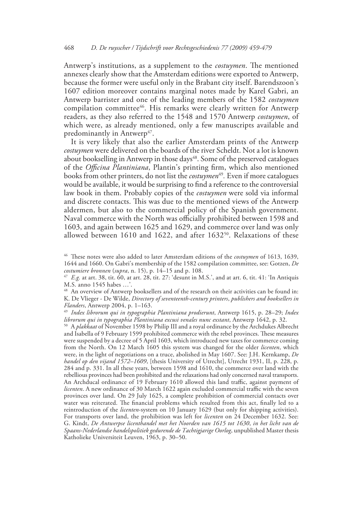Antwerp's institutions, as a supplement to the *costuymen*. The mentioned annexes clearly show that the Amsterdam editions were exported to Antwerp, because the former were useful only in the Brabant city itself. Barendszoon's 1607 edition moreover contains marginal notes made by Karel Gabri, an Antwerp barrister and one of the leading members of the 1582 *costuymen*  compilation committee<sup>46</sup>. His remarks were clearly written for Antwerp readers, as they also referred to the 1548 and 1570 Antwerp *costuymen*, of which were, as already mentioned, only a few manuscripts available and predominantly in Antwerp<sup>47</sup>.

It is very likely that also the earlier Amsterdam prints of the Antwerp *costuymen* were delivered on the boards of the river Scheldt. Not a lot is known about bookselling in Antwerp in those days<sup>48</sup>. Some of the preserved catalogues of the *Officina Plantiniana*, Plantin's printing firm, which also mentioned books from other printers, do not list the *costuymen*<sup>49</sup>. Even if more catalogues would be available, it would be surprising to find a reference to the controversial law book in them. Probably copies of the *costuymen* were sold via informal and discrete contacts. This was due to the mentioned views of the Antwerp aldermen, but also to the commercial policy of the Spanish government. Naval commerce with the North was officially prohibited between 1598 and 1603, and again between 1625 and 1629, and commerce over land was only allowed between 1610 and 1622, and after 163250. Relaxations of these

<sup>49</sup> *Index librorum qui in typographia Plantiniana prodierunt*, Antwerp 1615, p. 28–29; *Index librorum qui in typographia Plantiniana excusi venales nunc exstant*, Antwerp 1642, p. 32.

50 A *plakkaat* of November 1598 by Philip III and a royal ordinance by the Archdukes Albrecht and Isabella of 9 February 1599 prohibited commerce with the rebel provinces. These measures were suspended by a decree of 5 April 1603, which introduced new taxes for commerce coming from the North. On 12 March 1605 this system was changed for the older *licenten*, which were, in the light of negotiations on a truce, abolished in May 1607. See: J.H. Kernkamp, *De handel op den vijand 1572–1609*, [thesis University of Utrecht], Utrecht 1931, II, p. 228, p. 284 and p. 331. In all these years, between 1598 and 1610, the commerce over land with the rebellious provinces had been prohibited and the relaxations had only concerned naval transports. An Archducal ordinance of 19 February 1610 allowed this land traffic, against payment of *licenten*. A new ordinance of 30 March 1622 again excluded commercial traffic with the seven provinces over land. On 29 July 1625, a complete prohibition of commercial contacts over water was reiterated. The financial problems which resulted from this act, finally led to a reintroduction of the *licenten*-system on 10 January 1629 (but only for shipping activities). For transports over land, the prohibition was left for *licenten* on 24 December 1632. See: G. Kindt, *De Antwerpse licenthandel met het Noorden van 1615 tot 1630*, *in het licht van de Spaans-Nederlandse handelspolitiek gedurende de Tachtigjarige Oorlog*, unpublished Master thesis Katholieke Universiteit Leuven, 1963, p. 30–50.

<sup>46</sup> These notes were also added to later Amsterdam editions of the *costuymen* of 1613, 1639, 1644 and 1660. On Gabri's membership of the 1582 compilation committee, see: Gotzen, *De costumiere bronnen* (*supra*, n. 15), p. 14–15 and p. 108.

<sup>47</sup> *E.g.* at art. 38, tit. 60, at art. 28, tit. 27: 'desunt in M.S.', and at art. 6, tit. 41: 'In Antiquis M.S. anno 1545 habes …'.

<sup>&</sup>lt;sup>48</sup> An overview of Antwerp booksellers and of the research on their activities can be found in: K. De Vlieger - De Wilde, *Directory of seventeenth-century printers*, *publishers and booksellers in Flanders*, Antwerp 2004, p. 1–163.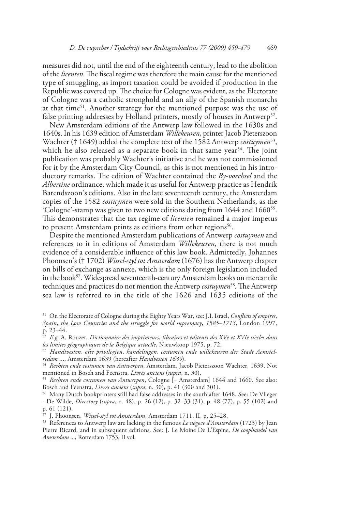measures did not, until the end of the eighteenth century, lead to the abolition of the *licenten*. The fiscal regime was therefore the main cause for the mentioned type of smuggling, as import taxation could be avoided if production in the Republic was covered up. The choice for Cologne was evident, as the Electorate of Cologne was a catholic stronghold and an ally of the Spanish monarchs at that time<sup>51</sup>. Another strategy for the mentioned purpose was the use of false printing addresses by Holland printers, mostly of houses in Antwerp<sup>52</sup>.

New Amsterdam editions of the Antwerp law followed in the 1630s and 1640s. In his 1639 edition of Amsterdam *Willekeuren*, printer Jacob Pieterszoon Wachter († 1649) added the complete text of the 1582 Antwerp *costuymen*<sup>53</sup>, which he also released as a separate book in that same year<sup>54</sup>. The joint publication was probably Wachter's initiative and he was not commissioned for it by the Amsterdam City Council, as this is not mentioned in his introductory remarks. The edition of Wachter contained the *By-voechsel* and the *Albertine* ordinance, which made it as useful for Antwerp practice as Hendrik Barendszoon's editions. Also in the late seventeenth century, the Amsterdam copies of the 1582 *costuymen* were sold in the Southern Netherlands, as the 'Cologne'-stamp was given to two new editions dating from 1644 and 166055. This demonstrates that the tax regime of *licenten* remained a major impetus to present Amsterdam prints as editions from other regions<sup>56</sup>.

Despite the mentioned Amsterdam publications of Antwerp *costuymen* and references to it in editions of Amsterdam *Willekeuren*, there is not much evidence of a considerable influence of this law book. Admittedly, Johannes Phoonsen's († 1702) *Wissel-styl tot Amsterdam* (1676) has the Antwerp chapter on bills of exchange as annexe, which is the only foreign legislation included in the book<sup>57</sup>. Widespread seventeenth-century Amsterdam books on mercantile techniques and practices do not mention the Antwerp *costuymen*<sup>58</sup>*.* The Antwerp sea law is referred to in the title of the 1626 and 1635 editions of the

<sup>51</sup> On the Electorate of Cologne during the Eighty Years War, see: J.I. Israel, *Conflicts of empires*, *Spain*, *the Low Countries and the struggle for world supremacy*, *1585–1713*, London 1997, p. 23–44.

<sup>52</sup> *E.g.* A. Rouzet, *Dictionnaire des imprimeurs*, *libraires et éditeurs des XVe et XVIe siècles dans les limites géographiques de la Belgique actuelle*, Nieuwkoop 1975, p. 72.

<sup>53</sup> *Handtvesten*, *ofte privilegien*, *handelingen*, *costumen ende willekeuren der Stadt Aemstelredam* ..., Amsterdam 1639 (hereafter *Handvesten 1639*).

<sup>54</sup> *Rechten ende costumen van Antwerpen*, Amsterdam, Jacob Pieterszoon Wachter, 1639. Not mentioned in Bosch and Feenstra, *Livres anciens* (*supra*, n. 30).

<sup>55</sup> *Rechten ende costumen van Antwerpen*, Cologne [= Amsterdam] 1644 and 1660. See also: Bosch and Feenstra, *Livres anciens* (*supra*, n. 30), p. 41 (300 and 301).

<sup>56</sup> Many Dutch bookprinters still had false addresses in the south after 1648. See: De Vlieger - De Wilde, *Directory* (*supra*, n. 48), p. 26 (12), p. 32–33 (31), p. 48 (77), p. 55 (102) and p. 61 (121).

<sup>57</sup> J. Phoonsen, *Wissel-styl tot Amsterdam*, Amsterdam 1711, II, p. 25–28.

<sup>58</sup> References to Antwerp law are lacking in the famous *Le négoce d'Amsterdam* (1723) by Jean Pierre Ricard, and in subsequent editions. See: J. Le Moine De L'Espine, *De coophandel van Amsterdam* ..., Rotterdam 1753, II vol.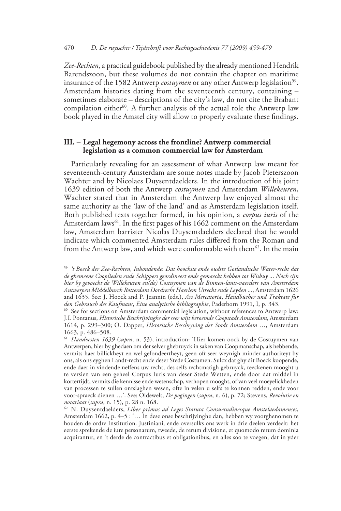*Zee-Rechten*, a practical guidebook published by the already mentioned Hendrik Barendszoon, but these volumes do not contain the chapter on maritime insurance of the 1582 Antwerp *costuymen* or any other Antwerp legislation<sup>59</sup>. Amsterdam histories dating from the seventeenth century, containing – sometimes elaborate – descriptions of the city's law, do not cite the Brabant compilation either<sup>60</sup>. A further analysis of the actual role the Antwerp law book played in the Amstel city will allow to properly evaluate these findings.

# **III. – Legal hegemony across the frontline? Antwerp commercial legislation as a common commercial law for Amsterdam**

Particularly revealing for an assessment of what Antwerp law meant for seventeenth-century Amsterdam are some notes made by Jacob Pieterszoon Wachter and by Nicolaes Duysentdaelders. In the introduction of his joint 1639 edition of both the Antwerp *costuymen* and Amsterdam *Willekeuren*, Wachter stated that in Amsterdam the Antwerp law enjoyed almost the same authority as the 'law of the land' and as Amsterdam legislation itself. Both published texts together formed, in his opinion, a *corpus iuris* of the Amsterdam laws<sup>61</sup>. In the first pages of his 1662 comment on the Amsterdam law, Amsterdam barrister Nicolas Duysentdaelders declared that he would indicate which commented Amsterdam rules differed from the Roman and from the Antwerp law, and which were conformable with them<sup>62</sup>. In the main

<sup>59</sup> *'t Boeck der Zee-Rechten*, *Inhoudende*: *Dat hoochste ende oudste Gotlandtsche Water-recht dat de ghemeene Cooplieden ende Schippers geordineert ende gemaeckt hebben tot Wisbuy* ... *Noch sijn hier by gevoecht de Willekeuren en(de) Costuymen van de Binnen-lants-vaerders van Amsterdam Antwerpen Middelburch Rotterdam Dordrecht Haerlem Utrecht ende Leyden* ..*.*, Amsterdam 1626 and 1635. See: J. Hoock and P. Jeannin (eds.), *Ars Mercatoria*, *Handbücher und Traktate für den Gebrauch des Kaufmans*, *Eine analytische bibliographie*, Paderborn 1991, I, p. 343.

<sup>&</sup>lt;sup>60</sup> See for sections on Amsterdam commercial legislation, without references to Antwerp law: J.I. Pontanus, *Historische Beschrijvinghe der seer wijt beroemde Coopstadt Amsterdam*, Amsterdam 1614, p. 299–300; O. Dapper, *Historische Beschryving der Stadt Amsterdam* …, Amsterdam 1663, p. 486–508.

<sup>61</sup> *Handvesten 1639* (*supra*, n. 53), introduction: 'Hier komen oock by de Costuymen van Antwerpen, hier by ghedaen om der selver ghebruyck in saken van Coopmanschap, als hebbende, vermits haer billickheyt en wel gefondeertheyt, geen oft seer weynigh minder authoriteyt by ons, als ons eyghen Landt-recht ende deser Stede Costumen. Sulcx dat ghy dit Boeck koopende, ende daer in vindende neffens uw recht, des selfs rechtmatigh gebruyck, reeckenen mooght u te versien van een geheel Corpus Iuris van deser Stede Wetten, ende door dat middel in kortertijdt, vermits die kennisse ende wetenschap, verhopen mooght, of van veel moeyelickheden van processen te sullen ontslaghen wesen, ofte in velen u selfs te konnen redden, ende voor voor-spraeck dienen …'. See: Oldewelt, *De pogingen* (*supra*, n. 6), p. 72; Stevens, *Revolutie en notariaat* (*supra*, n. 15), p. 28 n. 168.

<sup>62</sup> N. Duysentdaelders, *Liber primus ad Leges Statuta Consuetudinesque Amstelaedamenses*, Amsterdam 1662, p. 4–5 : '… In dese onse beschrijvinghe dan, hebben wy voorghenomen te houden de ordre Institution. Justiniani, ende oversulks ons werk in drie deelen verdeelt: het eerste sprekende de iure personarum, tweede, de rerum divisione, et quomodo rerum dominia acquirantur, en 't derde de contractibus et obligationibus, en alles soo te voegen, dat in yder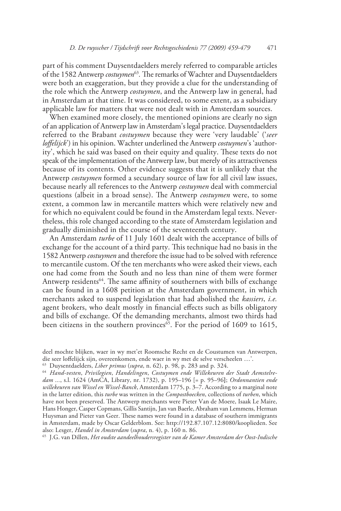part of his comment Duysentdaelders merely referred to comparable articles of the 1582 Antwerp *costuymen*<sup>63</sup>. The remarks of Wachter and Duysentdaelders were both an exaggeration, but they provide a clue for the understanding of the role which the Antwerp *costuymen*, and the Antwerp law in general, had in Amsterdam at that time. It was considered, to some extent, as a subsidiary applicable law for matters that were not dealt with in Amsterdam sources.

When examined more closely, the mentioned opinions are clearly no sign of an application of Antwerp law in Amsterdam's legal practice. Duysentdaelders referred to the Brabant *costuymen* because they were 'very laudable' ('*seer loffelijck*') in his opinion. Wachter underlined the Antwerp *costuymen*'s 'authority', which he said was based on their equity and quality. These texts do not speak of the implementation of the Antwerp law, but merely of its attractiveness because of its contents. Other evidence suggests that it is unlikely that the Antwerp *costuymen* formed a secundary source of law for all civil law issues, because nearly all references to the Antwerp *costuymen* deal with commercial questions (albeit in a broad sense). The Antwerp *costuymen* were, to some extent, a common law in mercantile matters which were relatively new and for which no equivalent could be found in the Amsterdam legal texts. Nevertheless, this role changed according to the state of Amsterdam legislation and gradually diminished in the course of the seventeenth century.

An Amsterdam *turbe* of 11 July 1601 dealt with the acceptance of bills of exchange for the account of a third party. This technique had no basis in the 1582 Antwerp *costuymen* and therefore the issue had to be solved with reference to mercantile custom. Of the ten merchants who were asked their views, each one had come from the South and no less than nine of them were former Antwerp residents<sup>64</sup>. The same affinity of southerners with bills of exchange can be found in a 1608 petition at the Amsterdam government, in which merchants asked to suspend legislation that had abolished the *kassiers*, *i.e.* agent brokers, who dealt mostly in financial effects such as bills obligatory and bills of exchange. Of the demanding merchants, almost two thirds had been citizens in the southern provinces<sup>65</sup>. For the period of 1609 to 1615,

65 J.G. van Dillen, *Het oudste aandeelhoudersregister van de Kamer Amsterdam der Oost-Indische* 

deel mochte blijken, waer in wy met'et Roomsche Recht en de Coustumen van Antwerpen, die seer loffelijck sijn, overeenkomen, ende waer in wy met de selve verscheelen …'.

<sup>63</sup> Duysentdaelders, *Liber primus* (*supra*, n. 62), p. 98, p. 283 and p. 324.

<sup>64</sup> *Hand-vesten*, *Privilegien*, *Handelingen*, *Costuymen ende Willekeuren der Stadt Aemstelre dam ...*, s.l. 1624 (AmCA, Library, nr. 1732), p. 195–196 [= p. 95–96**]**; *Ordonnantien ende willekeuren van Wissel en Wissel-Banck*, Amsterdam 1775, p. 3–7. According to a marginal note in the latter edition, this *turbe* was written in the *Compostboecken*, collections of *turben*, which have not been preserved. The Antwerp merchants were Pieter Van de Moere, Isaak Le Maire, Hans Honger, Casper Copmans, Gillis Santijn, Jan van Baerle, Abraham van Lemmens, Herman Huysman and Pieter van Geer. These names were found in a database of southern immigrants in Amsterdam, made by Oscar Gelderblom. See: http://192.87.107.12:8080/kooplieden. See also: Lesger, *Handel in Amsterdam* (*supra*, n. 4), p. 160 n. 86.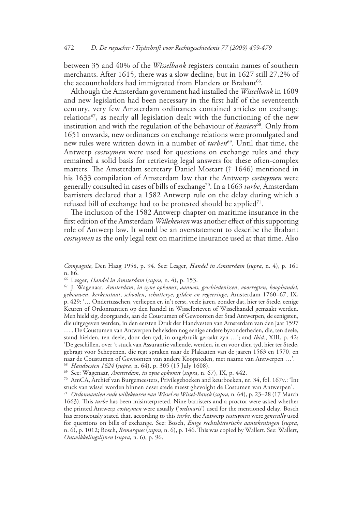between 35 and 40% of the *Wisselbank* registers contain names of southern merchants. After 1615, there was a slow decline, but in 1627 still 27,2% of the accountholders had immigrated from Flanders or Brabant<sup>66</sup>.

Although the Amsterdam government had installed the *Wisselbank* in 1609 and new legislation had been necessary in the first half of the seventeenth century, very few Amsterdam ordinances contained articles on exchange relations<sup>67</sup>, as nearly all legislation dealt with the functioning of the new institution and with the regulation of the behaviour of *kassiers*<sup>68</sup>. Only from 1651 onwards, new ordinances on exchange relations were promulgated and new rules were written down in a number of *turben*<sup>69</sup>. Until that time, the Antwerp *costuymen* were used for questions on exchange rules and they remained a solid basis for retrieving legal answers for these often-complex matters. The Amsterdam secretary Daniel Mostart († 1646) mentioned in his 1633 compilation of Amsterdam law that the Antwerp *costuymen* were generally consulted in cases of bills of exchange70. In a 1663 *turbe*, Amsterdam barristers declared that a 1582 Antwerp rule on the delay during which a refused bill of exchange had to be protested should be applied<sup>71</sup>.

The inclusion of the 1582 Antwerp chapter on maritime insurance in the first edition of the Amsterdam *Willekeuren* was another effect of this supporting role of Antwerp law. It would be an overstatement to describe the Brabant *costuymen* as the only legal text on maritime insurance used at that time. Also

66 Lesger, *Handel in Amsterdam* (*supra*, n. 4), p. 153. 67 J. Wagenaar, *Amsterdam*, *in zyne opkomst*, *aanwas*, *geschiedenissen*, *voorregten*, *koophandel*, *gebouwen*, *kerkenstaat*, *schoolen*, *schutterye*, *gilden en regeeringe*, Amsterdam 1760–67, IX, p. 429: '… Ondertusschen, verliepen er, in't eerst, veele jaren, zonder dat, hier ter Stede, eenige Keuren of Ordonnantien op den handel in Wisselbrieven of Wisselhandel gemaakt werden. Men hield zig, doorgaands, aan de Coustumen of Gewoonten der Stad Antwerpen, de eenigsten, die uitgegeven werden, in den eersten Druk der Handvesten van Amsterdam van den jaar 1597 … . De Coustumen van Antwerpen behelsden nog eenige andere byzonderheden, die, ten deele, stand hielden, ten deele, door den tyd, in ongebruik geraakt zyn …'; and *Ibid.*, XIII, p. 42: 'De geschillen, over 't stuck van Assurantie vallende, werden, in en voor dien tyd, hier ter Stede, gebragt voor Schepenen, die regt spraken naar de Plakaaten van de jaaren 1563 en 1570, en naar de Coustumen of Gewoonten van andere Koopsteden, met naame van Antwerpen …'.

<sup>68</sup> *Handvesten 1624* (*supra*, n. 64), p. 305 (15 July 1608).

69 See: Wagenaar, *Amsterdam*, *in zyne opkomst* (*supra*, n. 67), IX, p. 442.

70 AmCA, Archief van Burgemeesters, Privilegeboeken and keurboeken, nr. 34, fol. 167v.: 'Int stuck van wissel worden binnen deser stede meest ghevolght de Costumen van Antwerpen'.

<sup>71</sup> *Ordonnantien ende willekeuren van Wissel en Wissel-Banck* (*supra*, n. 64), p. 23–28 (17 March 1663). This *turbe* has been misinterpreted. Nine barristers and a proctor were asked whether the printed Antwerp *costuymen* were usually ('*ordinaris*') used for the mentioned delay. Bosch has erroneously stated that, according to this *turbe*, the Antwerp *costuymen* were *generally* used for questions on bills of exchange. See: Bosch, *Enige rechtshistorische aantekeningen* (*supra*, n. 6), p. 1012; Bosch, *Remarques* (*supra*, n. 6), p. 146. This was copied by Wallert. See: Wallert, *Ontwikkelingslijnen* (*supra*, n. 6), p. 96.

*Compagnie*, Den Haag 1958, p. 94. See: Lesger, *Handel in Amsterdam* (*supra*, n. 4), p. 161 n. 86.<br><sup>66</sup> Lesger, *Handel in Amsterdam* (supra, n. 4), p. 153.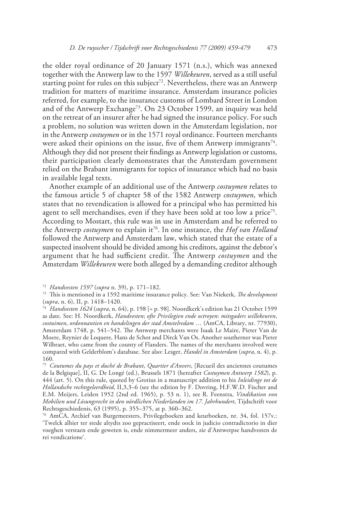the older royal ordinance of 20 January 1571 (n.s.), which was annexed together with the Antwerp law to the 1597 *Willekeuren*, served as a still useful starting point for rules on this subject<sup>72</sup>. Nevertheless, there was an Antwerp tradition for matters of maritime insurance. Amsterdam insurance policies referred, for example, to the insurance customs of Lombard Street in London and of the Antwerp Exchange<sup>73</sup>. On 23 October 1599, an inquiry was held on the retreat of an insurer after he had signed the insurance policy. For such a problem, no solution was written down in the Amsterdam legislation, nor in the Antwerp *costuymen* or in the 1571 royal ordinance. Fourteen merchants were asked their opinions on the issue, five of them Antwerp immigrants<sup>74</sup>. Although they did not present their findings as Antwerp legislation or customs, their participation clearly demonstrates that the Amsterdam government relied on the Brabant immigrants for topics of insurance which had no basis in available legal texts.

Another example of an additional use of the Antwerp *costuymen* relates to the famous article 5 of chapter 58 of the 1582 Antwerp *costuymen*, which states that no revendication is allowed for a principal who has permitted his agent to sell merchandises, even if they have been sold at too low a price<sup>75</sup>. According to Mostart, this rule was in use in Amsterdam and he referred to the Antwerp *costuymen* to explain it76. In one instance, the *Hof van Holland*  followed the Antwerp and Amsterdam law, which stated that the estate of a suspected insolvent should be divided among his creditors, against the debtor's argument that he had sufficient credit. The Antwerp *costuymen* and the Amsterdam *Willekeuren* were both alleged by a demanding creditor although

<sup>72</sup> *Handvesten 1597* (*supra* n. 39), p. 171–182.

<sup>73</sup> This is mentioned in a 1592 maritime insurance policy. See: Van Niekerk, *The development*

<sup>(</sup>*supra*, n. 6), II, p. 1418–1420. 74 *Handvesten 1624* (*supra*, n. 64), p. 198 [= p. 98]. Noordkerk's edition has 21 October 1599 as date. See: H. Noordkerk, *Handvesten*; *ofte Privilegien ende octroyen*: *mitsgaders willekeuren*, *costuimen*, *ordonnantien en handelingen der stad Amstelredam* … (AmCA, Library, nr. 77930), Amsterdam 1748, p. 541–542. The Antwerp merchants were Isaak Le Maire, Pieter Van de Moere, Reynier de Loquere, Hans de Schot and Dirck Van Os. Another southerner was Pieter Wilbraet, who came from the county of Flanders. The names of the merchants involved were compared with Gelderblom's database. See also: Lesger, *Handel in Amsterdam* (*supra*, n. 4), p. 160.

<sup>75</sup> *Coutumes du pays et duché de Brabant*, *Quartier d'Anvers*, [Recueil des anciennes coutumes de la Belgique], II, G. De Longé (ed.), Brussels 1871 (hereafter *Costuymen Antwerp 1582*), p. 444 (art. 5). On this rule, quoted by Grotius in a manuscript addition to his *Inleidinge tot de Hollandsche rechtsgeleerdheid*, II,3,3–6 (see the edition by F. Dovring, H.F.W.D. Fischer and E.M. Meijers, Leiden 1952 (2nd ed. 1965), p. 53 n. 1), see R. Feenstra, *Vindikation von Mobilien und Lösungsrecht in den nördlichen Niederlanden im 17. Jahrhundert*, Tijdschrift voor Rechtsgeschiedenis, 63 (1995), p. 355–375, at p. 360–362.

<sup>76</sup> AmCA, Archief van Burgemeesters, Privilegeboeken and keurboeken, nr. 34, fol. 157v.: 'Twelck alhier ter stede altydts zoo gepractiseert, ende oock in judicio contradictorio in dier voeghen verstaen ende geweten is, ende nimmermeer anders, zie d'Antwerpse handvesten de rei vendicatione'.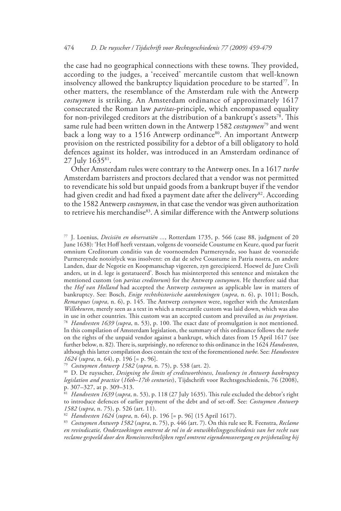the case had no geographical connections with these towns. They provided, according to the judges, a 'received' mercantile custom that well-known insolvency allowed the bankruptcy liquidation procedure to be started<sup>77</sup>. In other matters, the resemblance of the Amsterdam rule with the Antwerp *costuymen* is striking. An Amsterdam ordinance of approximately 1617 consecrated the Roman law *paritas*-principle, which encompassed equality for non-privileged creditors at the distribution of a bankrupt's assets<sup>78</sup>. This same rule had been written down in the Antwerp 1582 *costuymen*79 and went back a long way to a 1516 Antwerp ordinance<sup>80</sup>. An important Antwerp provision on the restricted possibility for a debtor of a bill obligatory to hold defences against its holder, was introduced in an Amsterdam ordinance of 27 July 163581.

Other Amsterdam rules were contrary to the Antwerp ones. In a 1617 *turbe* Amsterdam barristers and proctors declared that a vendor was not permitted to revendicate his sold but unpaid goods from a bankrupt buyer if the vendor had given credit and had fixed a payment date after the delivery<sup>82</sup>. According to the 1582 Antwerp *costuymen*, in that case the vendor was given authorization to retrieve his merchandise<sup>83</sup>. A similar difference with the Antwerp solutions

<sup>77</sup> J. Loenius, *Decisiën en observatiën ...*, Rotterdam 1735, p. 566 (case 88, judgment of 20 June 1638): 'Het Hoff heeft verstaan, volgens de voorseide Coustume en Keure, quod par fuerit omnium Creditorum conditio van de voornoemden Purmereynde, soo haast de voorszeide Purmereynde notoirlyck was insolvent: en dat de selve Coustume in Patria nostra, en andere Landen, daar de Negotie en Koopmanschap vigeeren, zyn gerecipieerd. Hoewel de Jure Civili anders, ut in d. lege is gestatueerd'. Bosch has misinterpreted this sentence and mistaken the mentioned custom (on *paritas creditorum*) for the Antwerp *costuymen*. He therefore said that the *Hof van Holland* had accepted the Antwerp *costuymen* as applicable law in matters of bankruptcy. See: Bosch, *Enige rechtshistorische aantekeningen* (*supra*, n. 6), p. 1011; Bosch, *Remarques* (*supra*, n. 6), p. 145. The Antwerp *costuymen* were, together with the Amsterdam *Willekeuren*, merely seen as a text in which a mercantile custom was laid down, which was also in use in other countries. This custom was an accepted custom and prevailed as *ius proprium*. <sup>78</sup> *Handvesten 1639* (*supra*, n. 53), p. 100. The exact date of promulgation is not mentioned. In this compilation of Amsterdam legislation, the summary of this ordinance follows the *turbe* on the rights of the unpaid vendor against a bankrupt, which dates from 15 April 1617 (see further below, n. 82). There is, surprisingly, no reference to this ordinance in the 1624 *Handvesten*, although this latter compilation does contain the text of the forementioned *turbe*. See: *Handvesten 1624* (*supra*, n. 64), p. 196 [= p. 96].

<sup>79</sup> *Costuymen Antwerp 1582* (*supra*, n. 75), p. 538 (art. 2).

<sup>80</sup> D. De ruysscher, *Designing the limits of creditworthiness*, *Insolvency in Antwerp bankruptcy legislation and practice* (*16th–17th centuries*), Tijdschrift voor Rechtsgeschiedenis, 76 (2008), p. 307–327, at p. 309–313.

<sup>81</sup> *Handvesten 1639* (*supra*, n. 53), p. 118 (27 July 1635). This rule excluded the debtor's right to introduce defences of earlier payment of the debt and of set-off. See: *Costuymen Antwerp 1582* (*supra*, n. 75), p. 526 (art. 11).

<sup>82</sup> *Handvesten 1624* (*supra*, n. 64), p. 196 [= p. 96] (15 April 1617).

<sup>83</sup> *Costuymen Antwerp 1582* (*supra*, n. 75), p. 446 (art. 7). On this rule see R. Feenstra, *Reclame en revindicatie, Onderzoekingen omtrent de rol in de ontwikkelingsgeschiedenis van het recht van reclame gespeeld door den Romeinsrechtelijken regel omtrent eigendomsovergang en prijsbetaling bij*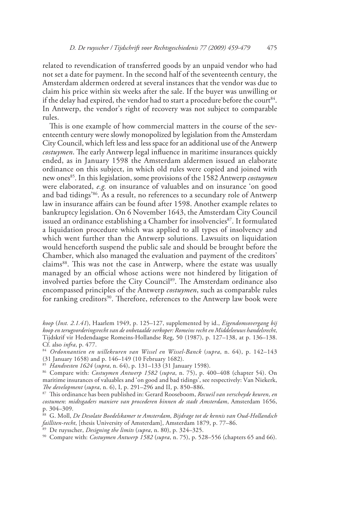related to revendication of transferred goods by an unpaid vendor who had not set a date for payment. In the second half of the seventeenth century, the Amsterdam aldermen ordered at several instances that the vendor was due to claim his price within six weeks after the sale. If the buyer was unwilling or if the delay had expired, the vendor had to start a procedure before the court<sup>84</sup>. In Antwerp, the vendor's right of recovery was not subject to comparable rules.

This is one example of how commercial matters in the course of the seventeenth century were slowly monopolized by legislation from the Amsterdam City Council, which left less and less space for an additional use of the Antwerp *costuymen*. The early Antwerp legal influence in maritime insurances quickly ended, as in January 1598 the Amsterdam aldermen issued an elaborate ordinance on this subject, in which old rules were copied and joined with new ones<sup>85</sup>. In this legislation, some provisions of the 1582 Antwerp *costuymen* were elaborated, *e.g.* on insurance of valuables and on insurance 'on good and bad tidings'86. As a result, no references to a secundary role of Antwerp law in insurance affairs can be found after 1598. Another example relates to bankruptcy legislation. On 6 November 1643, the Amsterdam City Council issued an ordinance establishing a Chamber for insolvencies<sup>87</sup>. It formulated a liquidation procedure which was applied to all types of insolvency and which went further than the Antwerp solutions. Lawsuits on liquidation would henceforth suspend the public sale and should be brought before the Chamber, which also managed the evaluation and payment of the creditors' claims<sup>88</sup>. This was not the case in Antwerp, where the estate was usually managed by an official whose actions were not hindered by litigation of involved parties before the City Council<sup>89</sup>. The Amsterdam ordinance also encompassed principles of the Antwerp *costuymen*, such as comparable rules for ranking creditors<sup>90</sup>. Therefore, references to the Antwerp law book were

*koop* (*Inst. 2.1.41*), Haarlem 1949, p. 125–127, supplemented by id., *Eigendomsovergang bij koop en terugvorderingsrecht van de onbetaalde verkoper: Romeins recht en Middeleeuws handelsrecht*, Tijdskrif vir Hedendaagse Romeins-Hollandse Reg, 50 (1987), p. 127–138, at p. 136–138. Cf. also *infra*, p. 477.

<sup>84</sup> *Ordonnantien en willekeuren van Wissel en Wissel-Banck* (*supra*, n. 64), p. 142–143 (31 January 1658) and p. 146–149 (10 February 1682).

<sup>85</sup> *Handvesten 1624* (*supra*, n. 64), p. 131–133 (31 January 1598).

<sup>86</sup> Compare with: *Costuymen Antwerp 1582* (*supra*, n. 75), p. 400–408 (chapter 54). On maritime insurances of valuables and 'on good and bad tidings', see respectively: Van Niekerk, *The development* (*supra*, n. 6), I, p. 291–296 and II, p. 850–886.

<sup>87</sup> This ordinance has been published in: Gerard Rooseboom, *Recueil van verscheyde keuren*, *en costumen*: *midtsgaders maniere van procederen binnen de stadt Amsterdam*, Amsterdam 1656, p. 304–309.

<sup>88</sup> G. Moll, *De Desolate Boedelskamer te Amsterdam*, *Bijdrage tot de kennis van Oud-Hollandsch failliten-recht*, [thesis University of Amsterdam], Amsterdam 1879, p. 77–86.

<sup>89</sup> De ruysscher, *Designing the limits* (*supra*, n. 80), p. 324–325.

<sup>90</sup> Compare with: *Costuymen Antwerp 1582* (*supra*, n. 75), p. 528–556 (chapters 65 and 66).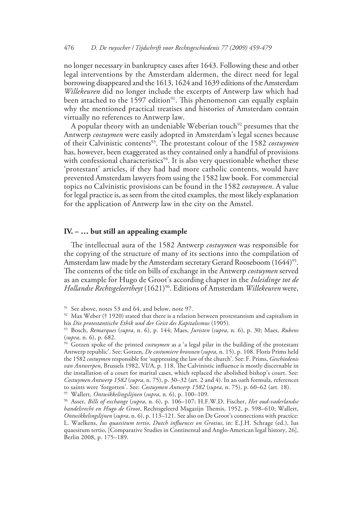no longer necessary in bankruptcy cases after 1643. Following these and other legal interventions by the Amsterdam aldermen, the direct need for legal borrowing disappeared and the 1613, 1624 and 1639 editions of the Amsterdam *Willekeuren* did no longer include the excerpts of Antwerp law which had been attached to the  $1597$  edition<sup>91</sup>. This phenomenon can equally explain why the mentioned practical treatises and histories of Amsterdam contain virtually no references to Antwerp law.

A popular theory with an undeniable Weberian touch<sup>92</sup> presumes that the Antwerp *costuymen* were easily adopted in Amsterdam's legal scenes because of their Calvinistic contents93. The protestant colour of the 1582 *costuymen* has, however, been exaggerated as they contained only a handful of provisions with confessional characteristics<sup>94</sup>. It is also very questionable whether these 'protestant' articles, if they had had more catholic contents, would have prevented Amsterdam lawyers from using the 1582 law book. For commercial topics no Calvinistic provisions can be found in the 1582 *costuymen*. A value for legal practice is, as seen from the cited examples, the most likely explanation for the application of Antwerp law in the city on the Amstel.

# **IV. – … but still an appealing example**

The intellectual aura of the 1582 Antwerp *costuymen* was responsible for the copying of the structure of many of its sections into the compilation of Amsterdam law made by the Amsterdam secretary Gerard Rooseboom (1644)<sup>95</sup>. The contents of the title on bills of exchange in the Antwerp *costuymen* served as an example for Hugo de Groot's according chapter in the *Inleidinge tot de Hollandse Rechtsgeleertheyt* (1621)96. Editions of Amsterdam *Willekeuren* were,

94 Gotzen spoke of the printed *costuymen* as a 'a legal pilar in the building of the protestant Antwerp republic'. See: Gotzen, *De costumiere bronnen* (*supra*, n. 15), p. 108. Floris Prims held the 1582 *costuymen* responsible for 'suppressing the law of the church'. See: F. Prims, *Geschiedenis van Antwerpen*, Brussels 1982, VI/A, p. 118. The Calvinistic influence is mostly discernable in the installation of a court for marital cases, which replaced the abolished bishop's court. See: *Costuymen Antwerp 1582* (*supra*, n. 75), p. 30–32 (art. 2 and 4). In an oath formula, references to saints were 'forgotten'. See: *Costuymen Antwerp 1582* (*supra*, n. 75), p. 60–62 (art. 18). 95 Wallert, *Ontwikkelingslijnen* (*supra*, n. 6), p. 100–109.

96 Asser, *Bills of exchange* (*supra*, n. 6), p. 106–107; H.F.W.D. Fischer, *Het oud-vaderlandse handelsrecht en Hugo de Groot*, Rechtsgeleerd Magazijn Themis, 1952, p. 598–610; Wallert, *Ontwikkelingslijnen* (*supra*, n. 6), p. 113–121. See also on De Groot's connections with practice: L. Waelkens, *Ius quaesitum tertio*, *Dutch influences on Grotius*, in: E.J.H. Schrage (ed.), Ius quaesitum tertio, [Comparative Studies in Continental and Anglo-American legal history, 26], Berlin 2008, p. 175–189.

<sup>&</sup>lt;sup>91</sup> See above, notes 53 and 64, and below, note 97.

 $92$  Max Weber († 1920) stated that there is a relation between protestantism and capitalism in his *Die protestantische Ethik und der Geist des Kapitalismus* (1905).

<sup>93</sup> Bosch, *Remarques* (*supra*, n. 6), p. 144; Maes, *Juristen* (*supra*, n. 6), p. 30; Maes, *Rubens* (*supra*, n. 6), p. 682.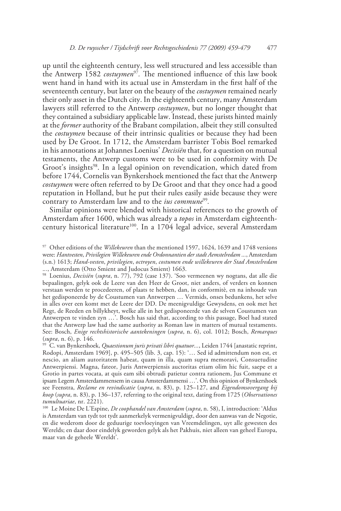up until the eighteenth century, less well structured and less accessible than the Antwerp 1582 *costuymen*<sup>97</sup>*.* The mentioned influence of this law book went hand in hand with its actual use in Amsterdam in the first half of the seventeenth century, but later on the beauty of the *costuymen* remained nearly their only asset in the Dutch city. In the eighteenth century, many Amsterdam lawyers still referred to the Antwerp *costuymen*, but no longer thought that they contained a subsidiary applicable law. Instead, these jurists hinted mainly at the *former* authority of the Brabant compilation, albeit they still consulted the *costuymen* because of their intrinsic qualities or because they had been used by De Groot. In 1712, the Amsterdam barrister Tobis Boel remarked in his annotations at Johannes Loenius' *Decisiën* that, for a question on mutual testaments, the Antwerp customs were to be used in conformity with De Groot's insights<sup>98</sup>. In a legal opinion on revendication, which dated from before 1744, Cornelis van Bynkershoek mentioned the fact that the Antwerp *costuymen* were often referred to by De Groot and that they once had a good reputation in Holland, but he put their rules easily aside because they were contrary to Amsterdam law and to the *ius commune*<sup>99</sup>*.*

Similar opinions were blended with historical references to the growth of Amsterdam after 1600, which was already a *topos* in Amsterdam eighteenthcentury historical literature<sup>100</sup>. In a 1704 legal advice, several Amsterdam

<sup>97</sup> Other editions of the *Willekeuren* than the mentioned 1597, 1624, 1639 and 1748 versions were: *Hantvesten*, *Privilegien Willekeuren ende Ordonnantien der stadt Aemstelredam ...*, Amsterdam (s.n*.*) 1613; *Hand-vesten*, *privilegien*, *octroyen*, *costumen ende willekeuren der Stad Amstelredam*  .*..*, Amsterdam (Otto Smient and Judocus Smient) 1663.

<sup>98</sup> Loenius, *Decisiën* (*supra*, n. 77), 792 (case 137). 'Soo vermeenen wy nogtans, dat alle die bepaalingen, gelyk ook de Leere van den Heer de Groot, niet anders, of verders en konnen verstaan werden te procedeeren, of plaats te hebben, dan, in conformitè, en na inhoude van het gedisponeerde by de Coustumen van Antwerpen … Vermids, onses bedunkens, het selve in alles over een komt met de Leere der DD. De meenigvuldige Gewysdens, en ook met het Regt, de Reeden en billykheyt, welke alle in het gedisponeerde van de selven Coustumen van Antwerpen te vinden zyn …'. Bosch has said that, according to this passage, Boel had stated that the Antwerp law had the same authority as Roman law in matters of mutual testaments. See: Bosch, *Enige rechtshistorische aantekeningen* (*supra*, n. 6), col. 1012; Bosch, *Remarques* (*supra*, n. 6), p. 146.

<sup>99</sup> C. van Bynkershoek, *Quaestionum juris privati libri quatuor...*, Leiden 1744 [anastatic reprint, Rodopi, Amsterdam 1969], p. 495–505 (lib. 3, cap. 15): '… Sed id admittendum non est, et nescio, an aliam autoritatem habeat, quam in illa, quam supra memoravi, Consuetudine Antwerpiensi. Magna, fateor, Juris Antwerpiensis auctoritas etiam olim hic fuit, saepe et a Grotio in partes vocata, at quis eam sibi obtrudi patietur contra rationem, Jus Commune et ipsam Legem Amsterdammensem in causa Amsterdammensi …'. On this opinion of Bynkershoek see Feenstra, *Reclame en revindicatie* (*supra*, n. 83), p. 125–127, and *Eigendomsovergang bij koop* (*supra*, n. 83), p. 136–137, referring to the original text, dating from 1725 (*Observationes tumultuariae*, nr. 2221).

<sup>100</sup> Le Moine De L'Espine, *De coophandel van Amsterdam* (*supra*, n. 58), I, introduction: 'Aldus is Amsterdam van tydt tot tydt aanmerkelyk vermenigvuldigt, door den aanwas van de Negotie, en die wederom door de geduurige toevloeyingen van Vreemdelingen, uyt alle gewesten des Werelds; en daar door eindelyk geworden gelyk als het Pakhuis, niet alleen van geheel Europa, maar van de geheele Wereldt'.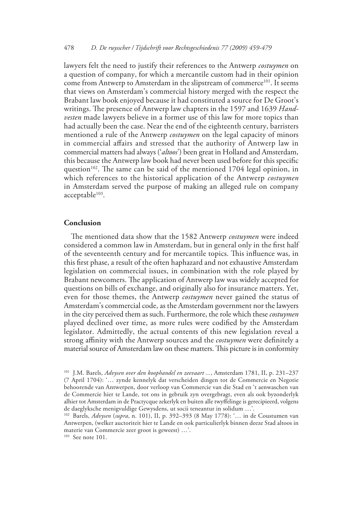lawyers felt the need to justify their references to the Antwerp *costuymen* on a question of company, for which a mercantile custom had in their opinion come from Antwerp to Amsterdam in the slipstream of commerce<sup>101</sup>. It seems that views on Amsterdam's commercial history merged with the respect the Brabant law book enjoyed because it had constituted a source for De Groot's writings. The presence of Antwerp law chapters in the 1597 and 1639 *Handvesten* made lawyers believe in a former use of this law for more topics than had actually been the case. Near the end of the eighteenth century, barristers mentioned a rule of the Antwerp *costuymen* on the legal capacity of minors in commercial affairs and stressed that the authority of Antwerp law in commercial matters had always ('*altoos*') been great in Holland and Amsterdam, this because the Antwerp law book had never been used before for this specific question<sup>102</sup>. The same can be said of the mentioned  $1704$  legal opinion, in which references to the historical application of the Antwerp *costuymen* in Amsterdam served the purpose of making an alleged rule on company acceptable<sup>103</sup>.

# **Conclusion**

The mentioned data show that the 1582 Antwerp *costuymen* were indeed considered a common law in Amsterdam, but in general only in the first half of the seventeenth century and for mercantile topics. This influence was, in this first phase, a result of the often haphazard and not exhaustive Amsterdam legislation on commercial issues, in combination with the role played by Brabant newcomers. The application of Antwerp law was widely accepted for questions on bills of exchange, and originally also for insurance matters. Yet, even for those themes, the Antwerp *costuymen* never gained the status of Amsterdam's commercial code, as the Amsterdam government nor the lawyers in the city perceived them as such. Furthermore, the role which these *costuymen* played declined over time, as more rules were codified by the Amsterdam legislator. Admittedly, the actual contents of this new legislation reveal a strong affinity with the Antwerp sources and the *costuymen* were definitely a material source of Amsterdam law on these matters. This picture is in conformity

103 See note 101.

<sup>101</sup> J.M. Barels, *Advysen over den koophandel en zeevaart ...*, Amsterdam 1781, II, p. 231–237 (7 April 1704): '… zynde kennelyk dat verscheiden dingen tot de Commercie en Negotie behoorende van Antwerpen, door verloop van Commercie van die Stad en 't aenwaschen van de Commercie hier te Lande, tot ons in gebruik zyn overgebragt, even als ook byzonderlyk alhier tot Amsterdam in de Practycque zekerlyk en buiten alle twyffelinge is gerecipieerd, volgens de daeglyksche menigvuldige Gewysdens, ut socii teneantur in solidum …'.

<sup>102</sup> Barels, *Advysen* (*supra*, n. 101), II, p. 392–393 (8 May 1778): '… in de Coustumen van Antwerpen, (welker auctoriteit hier te Lande en ook particulierlyk binnen deeze Stad altoos in materie van Commercie zeer groot is geweest) …'.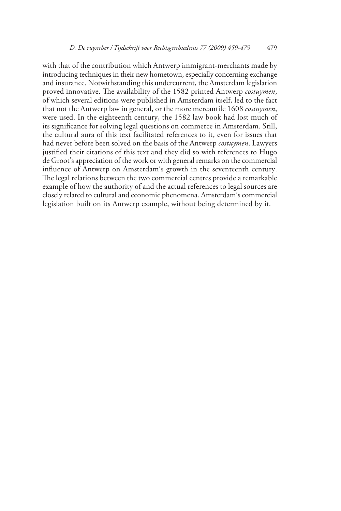with that of the contribution which Antwerp immigrant-merchants made by introducing techniques in their new hometown, especially concerning exchange and insurance. Notwithstanding this undercurrent, the Amsterdam legislation proved innovative. The availability of the 1582 printed Antwerp *costuymen*, of which several editions were published in Amsterdam itself, led to the fact that not the Antwerp law in general, or the more mercantile 1608 *costuymen*, were used. In the eighteenth century, the 1582 law book had lost much of its significance for solving legal questions on commerce in Amsterdam. Still, the cultural aura of this text facilitated references to it, even for issues that had never before been solved on the basis of the Antwerp *costuymen*. Lawyers justified their citations of this text and they did so with references to Hugo de Groot's appreciation of the work or with general remarks on the commercial influence of Antwerp on Amsterdam's growth in the seventeenth century. The legal relations between the two commercial centres provide a remarkable example of how the authority of and the actual references to legal sources are closely related to cultural and economic phenomena. Amsterdam's commercial legislation built on its Antwerp example, without being determined by it.